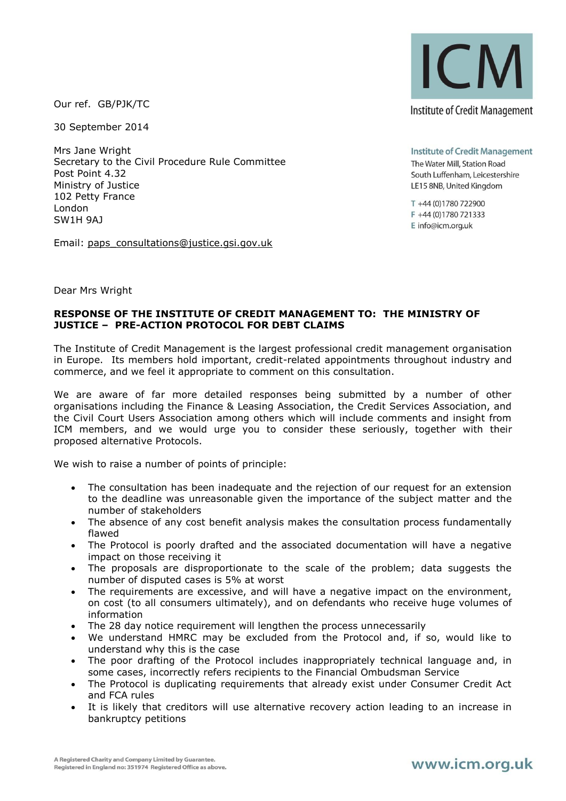Our ref. GB/PJK/TC

30 September 2014

Mrs Jane Wright Secretary to the Civil Procedure Rule Committee Post Point 4.32 Ministry of Justice 102 Petty France London SW1H 9AJ

Email: [paps\\_consultations@justice.gsi.gov.uk](mailto:paps_consultations@justice.gsi.gov.uk) 



**Institute of Credit Management** The Water Mill, Station Road South Luffenham, Leicestershire LE15 8NB, United Kingdom

T +44 (0)1780 722900 F +44 (0)1780 721333 E info@icm.org.uk

Dear Mrs Wright

## **RESPONSE OF THE INSTITUTE OF CREDIT MANAGEMENT TO: THE MINISTRY OF JUSTICE – PRE-ACTION PROTOCOL FOR DEBT CLAIMS**

The Institute of Credit Management is the largest professional credit management organisation in Europe. Its members hold important, credit-related appointments throughout industry and commerce, and we feel it appropriate to comment on this consultation.

We are aware of far more detailed responses being submitted by a number of other organisations including the Finance & Leasing Association, the Credit Services Association, and the Civil Court Users Association among others which will include comments and insight from ICM members, and we would urge you to consider these seriously, together with their proposed alternative Protocols.

We wish to raise a number of points of principle:

- The consultation has been inadequate and the rejection of our request for an extension to the deadline was unreasonable given the importance of the subject matter and the number of stakeholders
- The absence of any cost benefit analysis makes the consultation process fundamentally flawed
- The Protocol is poorly drafted and the associated documentation will have a negative impact on those receiving it
- The proposals are disproportionate to the scale of the problem; data suggests the number of disputed cases is 5% at worst
- The requirements are excessive, and will have a negative impact on the environment, on cost (to all consumers ultimately), and on defendants who receive huge volumes of information
- The 28 day notice requirement will lengthen the process unnecessarily
- We understand HMRC may be excluded from the Protocol and, if so, would like to understand why this is the case
- The poor drafting of the Protocol includes inappropriately technical language and, in some cases, incorrectly refers recipients to the Financial Ombudsman Service
- The Protocol is duplicating requirements that already exist under Consumer Credit Act and FCA rules
- It is likely that creditors will use alternative recovery action leading to an increase in bankruptcy petitions

## www.icm.org.uk